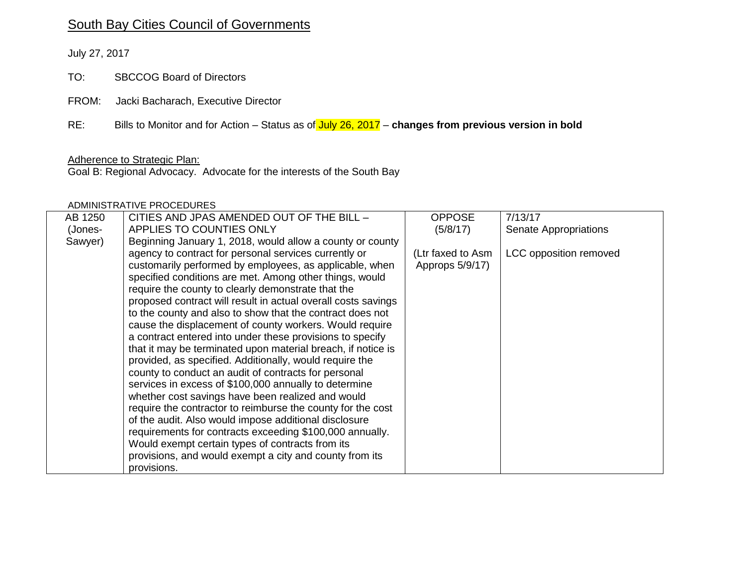# South Bay Cities Council of Governments

July 27, 2017

TO: SBCCOG Board of Directors

FROM: Jacki Bacharach, Executive Director

RE: Bills to Monitor and for Action – Status as of July 26, 2017 – **changes from previous version in bold**

#### Adherence to Strategic Plan:

Goal B: Regional Advocacy. Advocate for the interests of the South Bay

### ADMINISTRATIVE PROCEDURES

| AB 1250 | CITIES AND JPAS AMENDED OUT OF THE BILL -                     | <b>OPPOSE</b>     | 7/13/17                |
|---------|---------------------------------------------------------------|-------------------|------------------------|
| (Jones- | APPLIES TO COUNTIES ONLY                                      | (5/8/17)          | Senate Appropriations  |
| Sawyer) | Beginning January 1, 2018, would allow a county or county     |                   |                        |
|         | agency to contract for personal services currently or         | (Ltr faxed to Asm | LCC opposition removed |
|         | customarily performed by employees, as applicable, when       | Approps 5/9/17)   |                        |
|         | specified conditions are met. Among other things, would       |                   |                        |
|         | require the county to clearly demonstrate that the            |                   |                        |
|         | proposed contract will result in actual overall costs savings |                   |                        |
|         | to the county and also to show that the contract does not     |                   |                        |
|         | cause the displacement of county workers. Would require       |                   |                        |
|         | a contract entered into under these provisions to specify     |                   |                        |
|         | that it may be terminated upon material breach, if notice is  |                   |                        |
|         | provided, as specified. Additionally, would require the       |                   |                        |
|         | county to conduct an audit of contracts for personal          |                   |                        |
|         | services in excess of \$100,000 annually to determine         |                   |                        |
|         | whether cost savings have been realized and would             |                   |                        |
|         | require the contractor to reimburse the county for the cost   |                   |                        |
|         | of the audit. Also would impose additional disclosure         |                   |                        |
|         | requirements for contracts exceeding \$100,000 annually.      |                   |                        |
|         | Would exempt certain types of contracts from its              |                   |                        |
|         | provisions, and would exempt a city and county from its       |                   |                        |
|         | provisions.                                                   |                   |                        |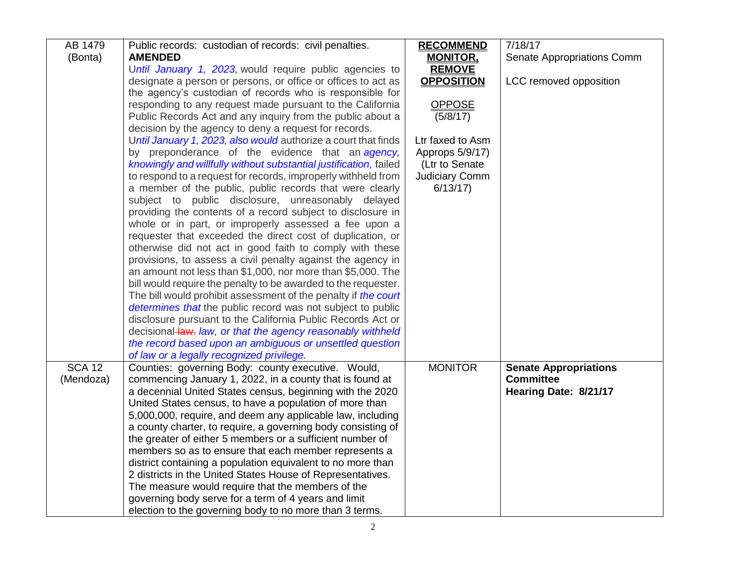| AB 1479       | Public records: custodian of records: civil penalties.            | <b>RECOMMEND</b>  | 7/18/17                      |
|---------------|-------------------------------------------------------------------|-------------------|------------------------------|
| (Bonta)       | <b>AMENDED</b>                                                    | <b>MONITOR,</b>   | Senate Appropriations Comm   |
|               | Until January 1, 2023, would require public agencies to           | <b>REMOVE</b>     |                              |
|               | designate a person or persons, or office or offices to act as     | <b>OPPOSITION</b> | LCC removed opposition       |
|               | the agency's custodian of records who is responsible for          |                   |                              |
|               | responding to any request made pursuant to the California         | <b>OPPOSE</b>     |                              |
|               | Public Records Act and any inquiry from the public about a        | (5/8/17)          |                              |
|               | decision by the agency to deny a request for records.             |                   |                              |
|               | Until January 1, 2023, also would authorize a court that finds    | Ltr faxed to Asm  |                              |
|               | by preponderance of the evidence that an agency,                  | Approps 5/9/17)   |                              |
|               | knowingly and willfully without substantial justification, failed | (Ltr to Senate    |                              |
|               | to respond to a request for records, improperly withheld from     | Judiciary Comm    |                              |
|               | a member of the public, public records that were clearly          | 6/13/17           |                              |
|               | subject to public disclosure, unreasonably delayed                |                   |                              |
|               | providing the contents of a record subject to disclosure in       |                   |                              |
|               | whole or in part, or improperly assessed a fee upon a             |                   |                              |
|               | requester that exceeded the direct cost of duplication, or        |                   |                              |
|               | otherwise did not act in good faith to comply with these          |                   |                              |
|               | provisions, to assess a civil penalty against the agency in       |                   |                              |
|               | an amount not less than \$1,000, nor more than \$5,000. The       |                   |                              |
|               | bill would require the penalty to be awarded to the requester.    |                   |                              |
|               | The bill would prohibit assessment of the penalty if the court    |                   |                              |
|               | determines that the public record was not subject to public       |                   |                              |
|               | disclosure pursuant to the California Public Records Act or       |                   |                              |
|               | decisional law. law, or that the agency reasonably withheld       |                   |                              |
|               | the record based upon an ambiguous or unsettled question          |                   |                              |
|               | of law or a legally recognized privilege.                         |                   |                              |
| <b>SCA 12</b> | Counties: governing Body: county executive. Would,                | <b>MONITOR</b>    | <b>Senate Appropriations</b> |
| (Mendoza)     | commencing January 1, 2022, in a county that is found at          |                   | <b>Committee</b>             |
|               | a decennial United States census, beginning with the 2020         |                   | Hearing Date: 8/21/17        |
|               | United States census, to have a population of more than           |                   |                              |
|               | 5,000,000, require, and deem any applicable law, including        |                   |                              |
|               | a county charter, to require, a governing body consisting of      |                   |                              |
|               | the greater of either 5 members or a sufficient number of         |                   |                              |
|               | members so as to ensure that each member represents a             |                   |                              |
|               | district containing a population equivalent to no more than       |                   |                              |
|               | 2 districts in the United States House of Representatives.        |                   |                              |
|               | The measure would require that the members of the                 |                   |                              |
|               | governing body serve for a term of 4 years and limit              |                   |                              |
|               | election to the governing body to no more than 3 terms.           |                   |                              |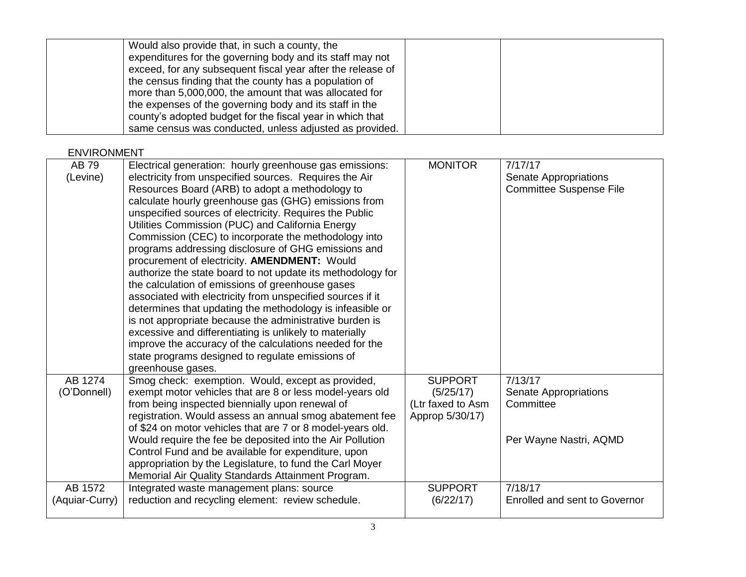| Would also provide that, in such a county, the<br>expenditures for the governing body and its staff may not           |  |
|-----------------------------------------------------------------------------------------------------------------------|--|
| exceed, for any subsequent fiscal year after the release of<br>the census finding that the county has a population of |  |
| more than 5,000,000, the amount that was allocated for                                                                |  |
| the expenses of the governing body and its staff in the<br>county's adopted budget for the fiscal year in which that  |  |
| same census was conducted, unless adjusted as provided.                                                               |  |

# ENVIRONMENT

| AB 79          | Electrical generation: hourly greenhouse gas emissions:     | <b>MONITOR</b>    | 7/17/17                        |
|----------------|-------------------------------------------------------------|-------------------|--------------------------------|
| (Levine)       | electricity from unspecified sources. Requires the Air      |                   | Senate Appropriations          |
|                | Resources Board (ARB) to adopt a methodology to             |                   | <b>Committee Suspense File</b> |
|                | calculate hourly greenhouse gas (GHG) emissions from        |                   |                                |
|                | unspecified sources of electricity. Requires the Public     |                   |                                |
|                | Utilities Commission (PUC) and California Energy            |                   |                                |
|                | Commission (CEC) to incorporate the methodology into        |                   |                                |
|                | programs addressing disclosure of GHG emissions and         |                   |                                |
|                | procurement of electricity. AMENDMENT: Would                |                   |                                |
|                | authorize the state board to not update its methodology for |                   |                                |
|                | the calculation of emissions of greenhouse gases            |                   |                                |
|                | associated with electricity from unspecified sources if it  |                   |                                |
|                | determines that updating the methodology is infeasible or   |                   |                                |
|                | is not appropriate because the administrative burden is     |                   |                                |
|                | excessive and differentiating is unlikely to materially     |                   |                                |
|                | improve the accuracy of the calculations needed for the     |                   |                                |
|                | state programs designed to regulate emissions of            |                   |                                |
|                | greenhouse gases.                                           |                   |                                |
| AB 1274        | Smog check: exemption. Would, except as provided,           | <b>SUPPORT</b>    | 7/13/17                        |
| (O'Donnell)    | exempt motor vehicles that are 8 or less model-years old    | (5/25/17)         | Senate Appropriations          |
|                | from being inspected biennially upon renewal of             | (Ltr faxed to Asm | Committee                      |
|                | registration. Would assess an annual smog abatement fee     | Approp 5/30/17)   |                                |
|                | of \$24 on motor vehicles that are 7 or 8 model-years old.  |                   |                                |
|                | Would require the fee be deposited into the Air Pollution   |                   | Per Wayne Nastri, AQMD         |
|                | Control Fund and be available for expenditure, upon         |                   |                                |
|                | appropriation by the Legislature, to fund the Carl Moyer    |                   |                                |
|                | Memorial Air Quality Standards Attainment Program.          |                   |                                |
| AB 1572        | Integrated waste management plans: source                   | <b>SUPPORT</b>    | 7/18/17                        |
| (Aquiar-Curry) | reduction and recycling element: review schedule.           | (6/22/17)         | Enrolled and sent to Governor  |
|                |                                                             |                   |                                |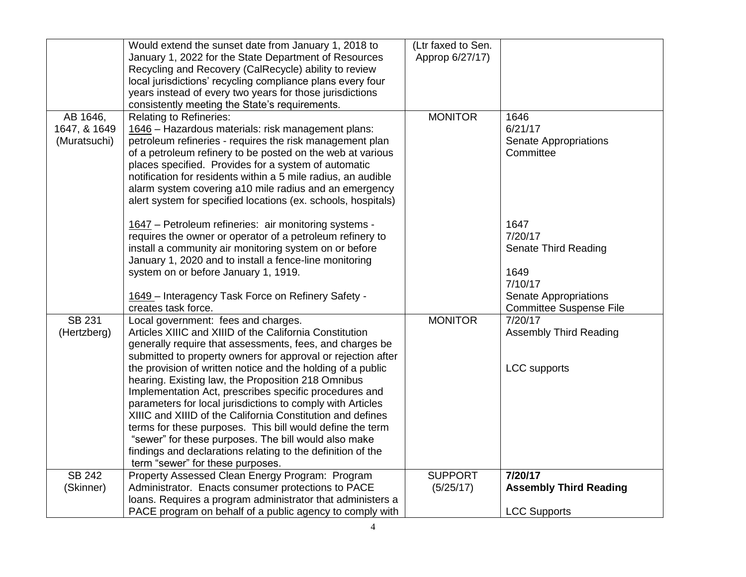|                                          | Would extend the sunset date from January 1, 2018 to<br>January 1, 2022 for the State Department of Resources<br>Recycling and Recovery (CalRecycle) ability to review<br>local jurisdictions' recycling compliance plans every four                                                                                                                                                                                                                                                                                                                                                                                                                                                                                                                          | (Ltr faxed to Sen.<br>Approp 6/27/17) |                                                                 |
|------------------------------------------|---------------------------------------------------------------------------------------------------------------------------------------------------------------------------------------------------------------------------------------------------------------------------------------------------------------------------------------------------------------------------------------------------------------------------------------------------------------------------------------------------------------------------------------------------------------------------------------------------------------------------------------------------------------------------------------------------------------------------------------------------------------|---------------------------------------|-----------------------------------------------------------------|
|                                          | years instead of every two years for those jurisdictions<br>consistently meeting the State's requirements.                                                                                                                                                                                                                                                                                                                                                                                                                                                                                                                                                                                                                                                    |                                       |                                                                 |
| AB 1646,<br>1647, & 1649<br>(Muratsuchi) | <b>Relating to Refineries:</b><br>1646 - Hazardous materials: risk management plans:<br>petroleum refineries - requires the risk management plan<br>of a petroleum refinery to be posted on the web at various<br>places specified. Provides for a system of automatic<br>notification for residents within a 5 mile radius, an audible<br>alarm system covering a10 mile radius and an emergency<br>alert system for specified locations (ex. schools, hospitals)                                                                                                                                                                                                                                                                                            | <b>MONITOR</b>                        | 1646<br>6/21/17<br><b>Senate Appropriations</b><br>Committee    |
|                                          | 1647 - Petroleum refineries: air monitoring systems -<br>requires the owner or operator of a petroleum refinery to<br>install a community air monitoring system on or before<br>January 1, 2020 and to install a fence-line monitoring<br>system on or before January 1, 1919.                                                                                                                                                                                                                                                                                                                                                                                                                                                                                |                                       | 1647<br>7/20/17<br>Senate Third Reading<br>1649<br>7/10/17      |
|                                          | 1649 - Interagency Task Force on Refinery Safety -<br>creates task force.                                                                                                                                                                                                                                                                                                                                                                                                                                                                                                                                                                                                                                                                                     |                                       | Senate Appropriations<br><b>Committee Suspense File</b>         |
| <b>SB 231</b><br>(Hertzberg)             | Local government: fees and charges.<br>Articles XIIIC and XIIID of the California Constitution<br>generally require that assessments, fees, and charges be<br>submitted to property owners for approval or rejection after<br>the provision of written notice and the holding of a public<br>hearing. Existing law, the Proposition 218 Omnibus<br>Implementation Act, prescribes specific procedures and<br>parameters for local jurisdictions to comply with Articles<br>XIIIC and XIIID of the California Constitution and defines<br>terms for these purposes. This bill would define the term<br>"sewer" for these purposes. The bill would also make<br>findings and declarations relating to the definition of the<br>term "sewer" for these purposes. | <b>MONITOR</b>                        | 7/20/17<br><b>Assembly Third Reading</b><br><b>LCC</b> supports |
| <b>SB 242</b><br>(Skinner)               | Property Assessed Clean Energy Program: Program<br>Administrator. Enacts consumer protections to PACE<br>loans. Requires a program administrator that administers a<br>PACE program on behalf of a public agency to comply with                                                                                                                                                                                                                                                                                                                                                                                                                                                                                                                               | <b>SUPPORT</b><br>(5/25/17)           | 7/20/17<br><b>Assembly Third Reading</b><br><b>LCC Supports</b> |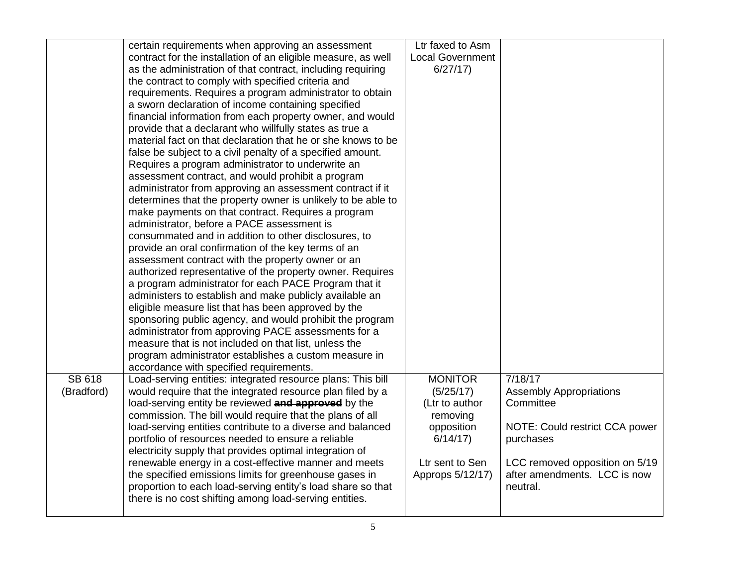|               | certain requirements when approving an assessment<br>contract for the installation of an eligible measure, as well | Ltr faxed to Asm<br><b>Local Government</b> |                                             |
|---------------|--------------------------------------------------------------------------------------------------------------------|---------------------------------------------|---------------------------------------------|
|               | as the administration of that contract, including requiring                                                        | 6/27/17                                     |                                             |
|               | the contract to comply with specified criteria and                                                                 |                                             |                                             |
|               | requirements. Requires a program administrator to obtain                                                           |                                             |                                             |
|               | a sworn declaration of income containing specified                                                                 |                                             |                                             |
|               | financial information from each property owner, and would                                                          |                                             |                                             |
|               | provide that a declarant who willfully states as true a                                                            |                                             |                                             |
|               | material fact on that declaration that he or she knows to be                                                       |                                             |                                             |
|               | false be subject to a civil penalty of a specified amount.                                                         |                                             |                                             |
|               | Requires a program administrator to underwrite an                                                                  |                                             |                                             |
|               | assessment contract, and would prohibit a program                                                                  |                                             |                                             |
|               | administrator from approving an assessment contract if it                                                          |                                             |                                             |
|               | determines that the property owner is unlikely to be able to<br>make payments on that contract. Requires a program |                                             |                                             |
|               | administrator, before a PACE assessment is                                                                         |                                             |                                             |
|               | consummated and in addition to other disclosures, to                                                               |                                             |                                             |
|               | provide an oral confirmation of the key terms of an                                                                |                                             |                                             |
|               | assessment contract with the property owner or an                                                                  |                                             |                                             |
|               | authorized representative of the property owner. Requires                                                          |                                             |                                             |
|               | a program administrator for each PACE Program that it                                                              |                                             |                                             |
|               | administers to establish and make publicly available an                                                            |                                             |                                             |
|               | eligible measure list that has been approved by the                                                                |                                             |                                             |
|               | sponsoring public agency, and would prohibit the program                                                           |                                             |                                             |
|               | administrator from approving PACE assessments for a                                                                |                                             |                                             |
|               | measure that is not included on that list, unless the                                                              |                                             |                                             |
|               | program administrator establishes a custom measure in                                                              |                                             |                                             |
|               | accordance with specified requirements.                                                                            |                                             |                                             |
| <b>SB 618</b> | Load-serving entities: integrated resource plans: This bill                                                        | <b>MONITOR</b>                              | 7/18/17                                     |
| (Bradford)    | would require that the integrated resource plan filed by a                                                         | (5/25/17)                                   | <b>Assembly Appropriations</b><br>Committee |
|               | load-serving entity be reviewed and approved by the<br>commission. The bill would require that the plans of all    | (Ltr to author<br>removing                  |                                             |
|               | load-serving entities contribute to a diverse and balanced                                                         | opposition                                  | NOTE: Could restrict CCA power              |
|               | portfolio of resources needed to ensure a reliable                                                                 | 6/14/17                                     | purchases                                   |
|               | electricity supply that provides optimal integration of                                                            |                                             |                                             |
|               | renewable energy in a cost-effective manner and meets                                                              | Ltr sent to Sen                             | LCC removed opposition on 5/19              |
|               | the specified emissions limits for greenhouse gases in                                                             | Approps 5/12/17)                            | after amendments. LCC is now                |
|               | proportion to each load-serving entity's load share so that                                                        |                                             | neutral.                                    |
|               | there is no cost shifting among load-serving entities.                                                             |                                             |                                             |
|               |                                                                                                                    |                                             |                                             |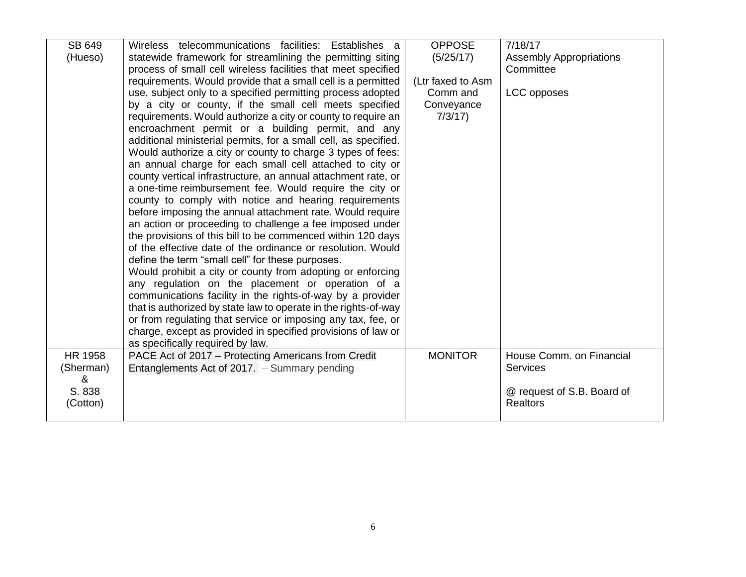| SB 649         | Wireless telecommunications facilities: Establishes a                                                          | <b>OPPOSE</b>     | 7/18/17                        |
|----------------|----------------------------------------------------------------------------------------------------------------|-------------------|--------------------------------|
| (Hueso)        | statewide framework for streamlining the permitting siting                                                     | (5/25/17)         | <b>Assembly Appropriations</b> |
|                | process of small cell wireless facilities that meet specified                                                  |                   | Committee                      |
|                | requirements. Would provide that a small cell is a permitted                                                   | (Ltr faxed to Asm |                                |
|                | use, subject only to a specified permitting process adopted                                                    | Comm and          | LCC opposes                    |
|                | by a city or county, if the small cell meets specified                                                         | Conveyance        |                                |
|                | requirements. Would authorize a city or county to require an                                                   | 7/3/17            |                                |
|                | encroachment permit or a building permit, and any                                                              |                   |                                |
|                | additional ministerial permits, for a small cell, as specified.                                                |                   |                                |
|                | Would authorize a city or county to charge 3 types of fees:                                                    |                   |                                |
|                | an annual charge for each small cell attached to city or                                                       |                   |                                |
|                | county vertical infrastructure, an annual attachment rate, or                                                  |                   |                                |
|                | a one-time reimbursement fee. Would require the city or                                                        |                   |                                |
|                | county to comply with notice and hearing requirements                                                          |                   |                                |
|                | before imposing the annual attachment rate. Would require                                                      |                   |                                |
|                | an action or proceeding to challenge a fee imposed under                                                       |                   |                                |
|                | the provisions of this bill to be commenced within 120 days                                                    |                   |                                |
|                | of the effective date of the ordinance or resolution. Would                                                    |                   |                                |
|                | define the term "small cell" for these purposes.<br>Would prohibit a city or county from adopting or enforcing |                   |                                |
|                | any regulation on the placement or operation of a                                                              |                   |                                |
|                | communications facility in the rights-of-way by a provider                                                     |                   |                                |
|                | that is authorized by state law to operate in the rights-of-way                                                |                   |                                |
|                | or from regulating that service or imposing any tax, fee, or                                                   |                   |                                |
|                | charge, except as provided in specified provisions of law or                                                   |                   |                                |
|                | as specifically required by law.                                                                               |                   |                                |
| <b>HR 1958</b> | PACE Act of 2017 – Protecting Americans from Credit                                                            | <b>MONITOR</b>    | House Comm. on Financial       |
| (Sherman)      | Entanglements Act of 2017. - Summary pending                                                                   |                   | <b>Services</b>                |
| &              |                                                                                                                |                   |                                |
| S. 838         |                                                                                                                |                   | @ request of S.B. Board of     |
| (Cotton)       |                                                                                                                |                   | <b>Realtors</b>                |
|                |                                                                                                                |                   |                                |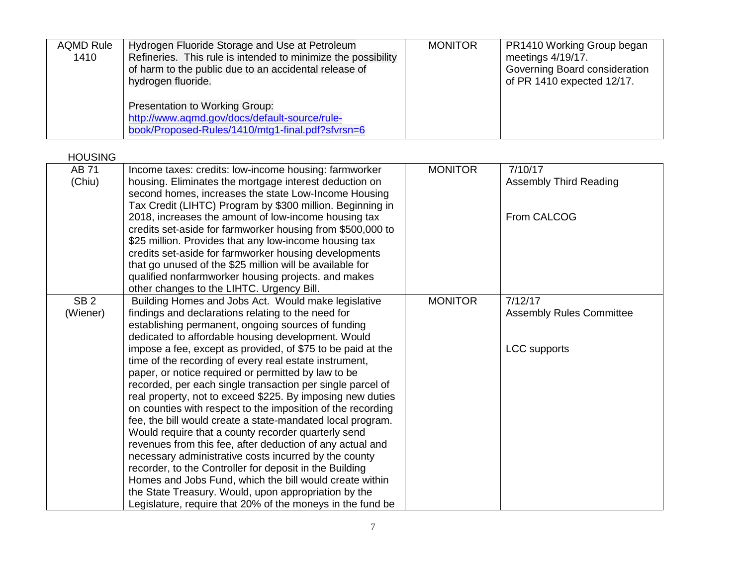| <b>AQMD Rule</b><br>1410 | Hydrogen Fluoride Storage and Use at Petroleum<br>Refineries. This rule is intended to minimize the possibility<br>of harm to the public due to an accidental release of<br>hydrogen fluoride. | <b>MONITOR</b> | PR1410 Working Group began<br>meetings 4/19/17.<br>Governing Board consideration<br>of PR 1410 expected 12/17. |
|--------------------------|------------------------------------------------------------------------------------------------------------------------------------------------------------------------------------------------|----------------|----------------------------------------------------------------------------------------------------------------|
|                          | <b>Presentation to Working Group:</b><br>http://www.aqmd.gov/docs/default-source/rule-<br>book/Proposed-Rules/1410/mtg1-final.pdf?sfvrsn=6                                                     |                |                                                                                                                |

HOUSING

| <b>AB71</b><br>(Chiu)       | Income taxes: credits: low-income housing: farmworker<br>housing. Eliminates the mortgage interest deduction on<br>second homes, increases the state Low-Income Housing                                                                                                                                                                                                                                                                                                                                                                                                                                                                                                                                                                                                                                                                                        | <b>MONITOR</b> | 7/10/17<br><b>Assembly Third Reading</b>   |
|-----------------------------|----------------------------------------------------------------------------------------------------------------------------------------------------------------------------------------------------------------------------------------------------------------------------------------------------------------------------------------------------------------------------------------------------------------------------------------------------------------------------------------------------------------------------------------------------------------------------------------------------------------------------------------------------------------------------------------------------------------------------------------------------------------------------------------------------------------------------------------------------------------|----------------|--------------------------------------------|
|                             | Tax Credit (LIHTC) Program by \$300 million. Beginning in<br>2018, increases the amount of low-income housing tax<br>credits set-aside for farmworker housing from \$500,000 to<br>\$25 million. Provides that any low-income housing tax<br>credits set-aside for farmworker housing developments<br>that go unused of the \$25 million will be available for<br>qualified nonfarmworker housing projects. and makes                                                                                                                                                                                                                                                                                                                                                                                                                                          |                | From CALCOG                                |
|                             | other changes to the LIHTC. Urgency Bill.                                                                                                                                                                                                                                                                                                                                                                                                                                                                                                                                                                                                                                                                                                                                                                                                                      |                |                                            |
| SB <sub>2</sub><br>(Wiener) | Building Homes and Jobs Act. Would make legislative<br>findings and declarations relating to the need for<br>establishing permanent, ongoing sources of funding<br>dedicated to affordable housing development. Would                                                                                                                                                                                                                                                                                                                                                                                                                                                                                                                                                                                                                                          | <b>MONITOR</b> | 7/12/17<br><b>Assembly Rules Committee</b> |
|                             | impose a fee, except as provided, of \$75 to be paid at the<br>time of the recording of every real estate instrument,<br>paper, or notice required or permitted by law to be<br>recorded, per each single transaction per single parcel of<br>real property, not to exceed \$225. By imposing new duties<br>on counties with respect to the imposition of the recording<br>fee, the bill would create a state-mandated local program.<br>Would require that a county recorder quarterly send<br>revenues from this fee, after deduction of any actual and<br>necessary administrative costs incurred by the county<br>recorder, to the Controller for deposit in the Building<br>Homes and Jobs Fund, which the bill would create within<br>the State Treasury. Would, upon appropriation by the<br>Legislature, require that 20% of the moneys in the fund be |                | <b>LCC</b> supports                        |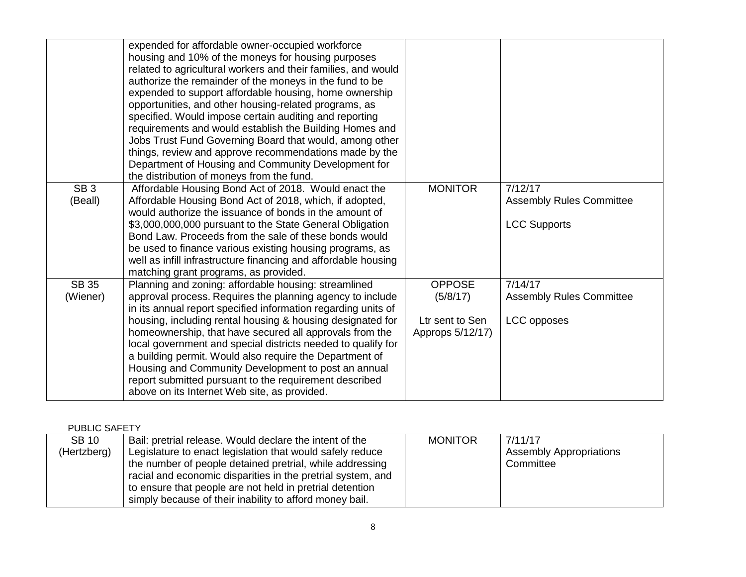|                            | expended for affordable owner-occupied workforce<br>housing and 10% of the moneys for housing purposes<br>related to agricultural workers and their families, and would<br>authorize the remainder of the moneys in the fund to be<br>expended to support affordable housing, home ownership<br>opportunities, and other housing-related programs, as<br>specified. Would impose certain auditing and reporting<br>requirements and would establish the Building Homes and<br>Jobs Trust Fund Governing Board that would, among other<br>things, review and approve recommendations made by the<br>Department of Housing and Community Development for<br>the distribution of moneys from the fund. |                                                                  |                                                                   |
|----------------------------|-----------------------------------------------------------------------------------------------------------------------------------------------------------------------------------------------------------------------------------------------------------------------------------------------------------------------------------------------------------------------------------------------------------------------------------------------------------------------------------------------------------------------------------------------------------------------------------------------------------------------------------------------------------------------------------------------------|------------------------------------------------------------------|-------------------------------------------------------------------|
| SB <sub>3</sub><br>(Beall) | Affordable Housing Bond Act of 2018. Would enact the<br>Affordable Housing Bond Act of 2018, which, if adopted,<br>would authorize the issuance of bonds in the amount of<br>\$3,000,000,000 pursuant to the State General Obligation<br>Bond Law. Proceeds from the sale of these bonds would<br>be used to finance various existing housing programs, as<br>well as infill infrastructure financing and affordable housing<br>matching grant programs, as provided.                                                                                                                                                                                                                               | <b>MONITOR</b>                                                   | 7/12/17<br><b>Assembly Rules Committee</b><br><b>LCC Supports</b> |
| <b>SB 35</b><br>(Wiener)   | Planning and zoning: affordable housing: streamlined<br>approval process. Requires the planning agency to include<br>in its annual report specified information regarding units of<br>housing, including rental housing & housing designated for<br>homeownership, that have secured all approvals from the<br>local government and special districts needed to qualify for<br>a building permit. Would also require the Department of<br>Housing and Community Development to post an annual<br>report submitted pursuant to the requirement described<br>above on its Internet Web site, as provided.                                                                                             | <b>OPPOSE</b><br>(5/8/17)<br>Ltr sent to Sen<br>Approps 5/12/17) | 7/14/17<br><b>Assembly Rules Committee</b><br>LCC opposes         |

PUBLIC SAFETY

| <b>SB 10</b> | Bail: pretrial release. Would declare the intent of the     | <b>MONITOR</b> | 7/11/17                        |
|--------------|-------------------------------------------------------------|----------------|--------------------------------|
| (Hertzberg)  | Legislature to enact legislation that would safely reduce   |                | <b>Assembly Appropriations</b> |
|              | the number of people detained pretrial, while addressing    |                | Committee                      |
|              | racial and economic disparities in the pretrial system, and |                |                                |
|              | to ensure that people are not held in pretrial detention    |                |                                |
|              | simply because of their inability to afford money bail.     |                |                                |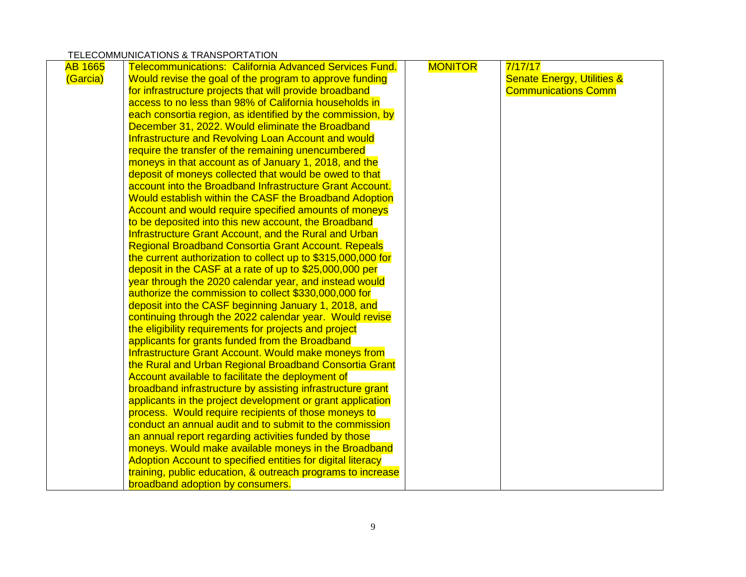## TELECOMMUNICATIONS & TRANSPORTATION

| <b>AB 1665</b> | <b>Telecommunications: California Advanced Services Fund.</b> | <b>MONITOR</b> | 7/17/17                               |
|----------------|---------------------------------------------------------------|----------------|---------------------------------------|
| (Garcia)       | Would revise the goal of the program to approve funding       |                | <b>Senate Energy, Utilities &amp;</b> |
|                | for infrastructure projects that will provide broadband       |                | <b>Communications Comm</b>            |
|                | access to no less than 98% of California households in        |                |                                       |
|                | each consortia region, as identified by the commission, by    |                |                                       |
|                | December 31, 2022. Would eliminate the Broadband              |                |                                       |
|                | Infrastructure and Revolving Loan Account and would           |                |                                       |
|                | require the transfer of the remaining unencumbered            |                |                                       |
|                | moneys in that account as of January 1, 2018, and the         |                |                                       |
|                | deposit of moneys collected that would be owed to that        |                |                                       |
|                | account into the Broadband Infrastructure Grant Account.      |                |                                       |
|                | Would establish within the CASF the Broadband Adoption        |                |                                       |
|                | Account and would require specified amounts of moneys         |                |                                       |
|                | to be deposited into this new account, the Broadband          |                |                                       |
|                | Infrastructure Grant Account, and the Rural and Urban         |                |                                       |
|                | <b>Regional Broadband Consortia Grant Account. Repeals</b>    |                |                                       |
|                | the current authorization to collect up to \$315,000,000 for  |                |                                       |
|                | deposit in the CASF at a rate of up to \$25,000,000 per       |                |                                       |
|                | year through the 2020 calendar year, and instead would        |                |                                       |
|                | authorize the commission to collect \$330,000,000 for         |                |                                       |
|                | deposit into the CASF beginning January 1, 2018, and          |                |                                       |
|                | continuing through the 2022 calendar year. Would revise       |                |                                       |
|                | the eligibility requirements for projects and project         |                |                                       |
|                | applicants for grants funded from the Broadband               |                |                                       |
|                | Infrastructure Grant Account. Would make moneys from          |                |                                       |
|                | the Rural and Urban Regional Broadband Consortia Grant        |                |                                       |
|                | Account available to facilitate the deployment of             |                |                                       |
|                | broadband infrastructure by assisting infrastructure grant    |                |                                       |
|                | applicants in the project development or grant application    |                |                                       |
|                | process. Would require recipients of those moneys to          |                |                                       |
|                | conduct an annual audit and to submit to the commission       |                |                                       |
|                | an annual report regarding activities funded by those         |                |                                       |
|                | moneys. Would make available moneys in the Broadband          |                |                                       |
|                | Adoption Account to specified entities for digital literacy   |                |                                       |
|                | training, public education, & outreach programs to increase   |                |                                       |
|                | broadband adoption by consumers.                              |                |                                       |